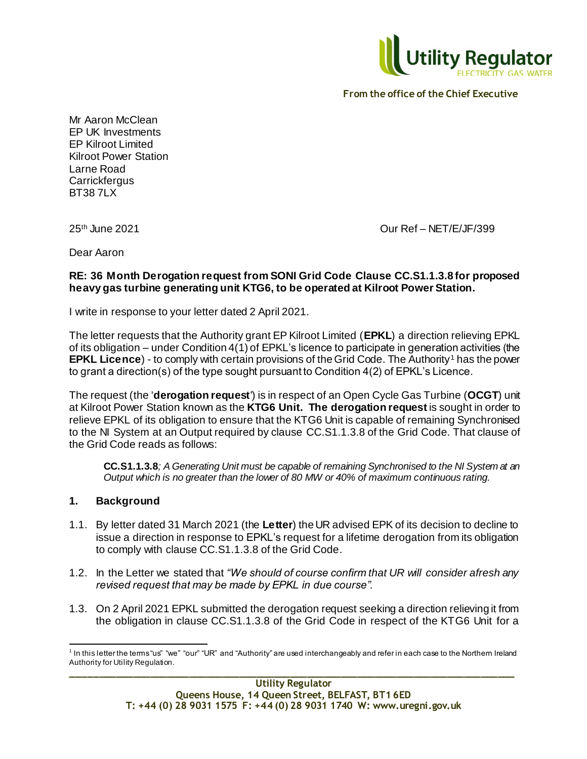

Mr Aaron McClean EP UK Investments EP Kilroot Limited Kilroot Power Station Larne Road **Carrickfergus** BT38 7LX

25th June 2021 Our Ref – NET/E/JF/399

Dear Aaron

# **RE: 36 Month Derogation request from SONI Grid Code Clause CC.S1.1.3.8 for proposed heavy gas turbine generating unit KTG6, to be operated at Kilroot Power Station.**

I write in response to your letter dated 2 April 2021.

The letter requests that the Authority grant EP Kilroot Limited (**EPKL**) a direction relieving EPKL of its obligation – under Condition 4(1) of EPKL's licence to participate in generation activities (the **EPKL Licence**) - to comply with certain provisions of the Grid Code. The Authority<sup>1</sup> has the power to grant a direction(s) of the type sought pursuant to Condition 4(2) of EPKL's Licence.

The request (the '**derogation request**') is in respect of an Open Cycle Gas Turbine (**OCGT**) unit at Kilroot Power Station known as the **KTG6 Unit. The derogation request** is sought in order to relieve EPKL of its obligation to ensure that the KTG6 Unit is capable of remaining Synchronised to the NI System at an Output required by clause CC.S1.1.3.8 of the Grid Code. That clause of the Grid Code reads as follows:

**CC.S1.1.3.8***; A Generating Unit must be capable of remaining Synchronised to the NI System at an Output which is no greater than the lower of 80 MW or 40% of maximum continuous rating.* 

# **1. Background**

- 1.1. By letter dated 31 March 2021 (the **Letter**) the UR advised EPK of its decision to decline to issue a direction in response to EPKL's request for a lifetime derogation from its obligation to comply with clause CC.S1.1.3.8 of the Grid Code.
- 1.2. In the Letter we stated that *"We should of course confirm that UR will consider afresh any revised request that may be made by EPKL in due course".*
- 1.3. On 2 April 2021 EPKL submitted the derogation request seeking a direction relieving it from the obligation in clause CC.S1.1.3.8 of the Grid Code in respect of the KTG6 Unit for a

**\_\_\_\_\_\_\_\_\_\_\_\_\_\_\_\_\_\_\_\_\_\_\_\_\_\_\_\_\_\_\_\_\_\_\_\_\_\_\_\_\_\_\_\_\_\_\_\_\_\_\_\_\_\_\_\_\_\_\_\_\_\_\_\_\_\_\_\_\_\_\_\_\_\_\_\_\_\_\_** l  $^1$  In this letter the terms "us" "we" "our" "UR" and "Authority" are used interchangeably and refer in each case to the Northern Ireland Authority for Utility Regulation.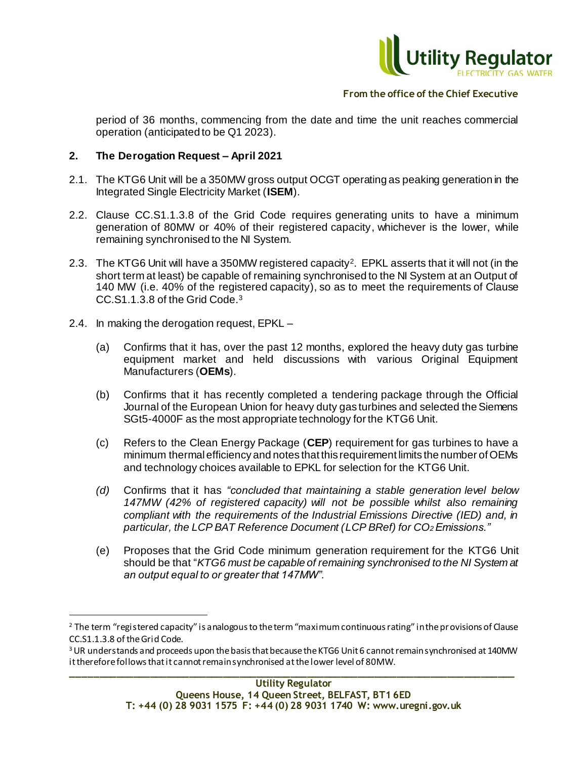

period of 36 months, commencing from the date and time the unit reaches commercial operation (anticipated to be Q1 2023).

## **2. The Derogation Request – April 2021**

- 2.1. The KTG6 Unit will be a 350MW gross output OCGT operating as peaking generation in the Integrated Single Electricity Market (**ISEM**).
- 2.2. Clause CC.S1.1.3.8 of the Grid Code requires generating units to have a minimum generation of 80MW or 40% of their registered capacity, whichever is the lower, while remaining synchronised to the NI System.
- 2.3. The KTG6 Unit will have a 350MW registered capacity<sup>2</sup> . EPKL asserts that it will not (in the short term at least) be capable of remaining synchronised to the NI System at an Output of 140 MW (i.e. 40% of the registered capacity), so as to meet the requirements of Clause CC.S1.1.3.8 of the Grid Code.<sup>3</sup>
- 2.4. In making the derogation request, EPKL –

l

- (a) Confirms that it has, over the past 12 months, explored the heavy duty gas turbine equipment market and held discussions with various Original Equipment Manufacturers (**OEMs**).
- (b) Confirms that it has recently completed a tendering package through the Official Journal of the European Union for heavy duty gas turbines and selected the Siemens SGt5-4000F as the most appropriate technology for the KTG6 Unit.
- (c) Refers to the Clean Energy Package (**CEP**) requirement for gas turbines to have a minimum thermal efficiency and notes that this requirement limits the number of OEMs and technology choices available to EPKL for selection for the KTG6 Unit.
- *(d)* Confirms that it has *"concluded that maintaining a stable generation level below 147MW (42% of registered capacity) will not be possible whilst also remaining compliant with the requirements of the Industrial Emissions Directive (IED) and, in particular, the LCP BAT Reference Document (LCP BRef) for CO2 Emissions."*
- (e) Proposes that the Grid Code minimum generation requirement for the KTG6 Unit should be that "*KTG6 must be capable of remaining synchronised to the NI System at an output equal to or greater that 147MW".*

<sup>&</sup>lt;sup>2</sup> The term "registered capacity" is analogous to the term "maximum continuous rating" in the provisions of Clause CC.S1.1.3.8 of the Grid Code.

<sup>&</sup>lt;sup>3</sup> UR understands and proceeds upon the basis that because the KTG6 Unit 6 cannot remain synchronised at 140MW it therefore follows that it cannot remain synchronised at the lower level of 80MW.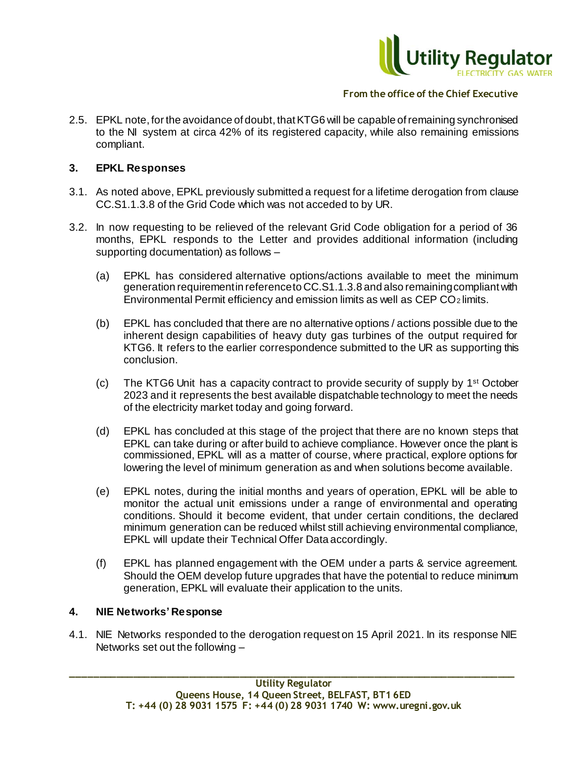

2.5. EPKL note, for the avoidance of doubt, that KTG6 will be capable of remaining synchronised to the NI system at circa 42% of its registered capacity, while also remaining emissions compliant.

### **3. EPKL Responses**

- 3.1. As noted above, EPKL previously submitted a request for a lifetime derogation from clause CC.S1.1.3.8 of the Grid Code which was not acceded to by UR.
- 3.2. In now requesting to be relieved of the relevant Grid Code obligation for a period of 36 months, EPKL responds to the Letter and provides additional information (including supporting documentation) as follows –
	- (a) EPKL has considered alternative options/actions available to meet the minimum generation requirement in reference to CC.S1.1.3.8 and also remaining compliant with Environmental Permit efficiency and emission limits as well as CEP CO2 limits.
	- (b) EPKL has concluded that there are no alternative options / actions possible due to the inherent design capabilities of heavy duty gas turbines of the output required for KTG6. It refers to the earlier correspondence submitted to the UR as supporting this conclusion.
	- (c) The KTG6 Unit has a capacity contract to provide security of supply by 1<sup>st</sup> October 2023 and it represents the best available dispatchable technology to meet the needs of the electricity market today and going forward.
	- (d) EPKL has concluded at this stage of the project that there are no known steps that EPKL can take during or after build to achieve compliance. However once the plant is commissioned, EPKL will as a matter of course, where practical, explore options for lowering the level of minimum generation as and when solutions become available.
	- (e) EPKL notes, during the initial months and years of operation, EPKL will be able to monitor the actual unit emissions under a range of environmental and operating conditions. Should it become evident, that under certain conditions, the declared minimum generation can be reduced whilst still achieving environmental compliance, EPKL will update their Technical Offer Data accordingly.
	- (f) EPKL has planned engagement with the OEM under a parts & service agreement. Should the OEM develop future upgrades that have the potential to reduce minimum generation, EPKL will evaluate their application to the units.

#### **4. NIE Networks' Response**

4.1. NIE Networks responded to the derogation request on 15 April 2021. In its response NIE Networks set out the following –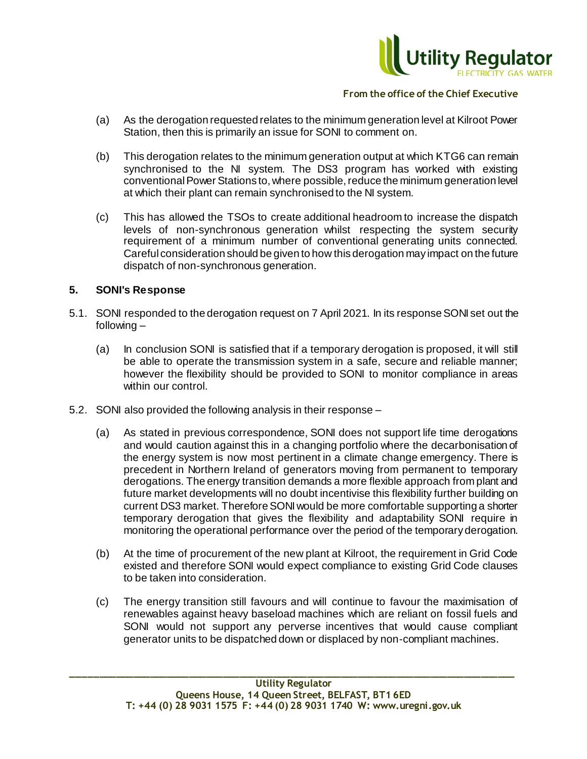

- (a) As the derogation requested relates to the minimum generation level at Kilroot Power Station, then this is primarily an issue for SONI to comment on.
- (b) This derogation relates to the minimum generation output at which KTG6 can remain synchronised to the NI system. The DS3 program has worked with existing conventional Power Stations to, where possible, reduce the minimum generation level at which their plant can remain synchronised to the NI system.
- (c) This has allowed the TSOs to create additional headroom to increase the dispatch levels of non-synchronous generation whilst respecting the system security requirement of a minimum number of conventional generating units connected. Careful consideration should be given to how this derogation may impact on the future dispatch of non-synchronous generation.

### **5. SONI's Response**

- 5.1. SONI responded to the derogation request on 7 April 2021. In its response SONI set out the following –
	- (a) In conclusion SONI is satisfied that if a temporary derogation is proposed, it will still be able to operate the transmission system in a safe, secure and reliable manner; however the flexibility should be provided to SONI to monitor compliance in areas within our control.
- 5.2. SONI also provided the following analysis in their response
	- (a) As stated in previous correspondence, SONI does not support life time derogations and would caution against this in a changing portfolio where the decarbonisation of the energy system is now most pertinent in a climate change emergency. There is precedent in Northern Ireland of generators moving from permanent to temporary derogations. The energy transition demands a more flexible approach from plant and future market developments will no doubt incentivise this flexibility further building on current DS3 market. Therefore SONI would be more comfortable supporting a shorter temporary derogation that gives the flexibility and adaptability SONI require in monitoring the operational performance over the period of the temporary derogation.
	- (b) At the time of procurement of the new plant at Kilroot, the requirement in Grid Code existed and therefore SONI would expect compliance to existing Grid Code clauses to be taken into consideration.
	- (c) The energy transition still favours and will continue to favour the maximisation of renewables against heavy baseload machines which are reliant on fossil fuels and SONI would not support any perverse incentives that would cause compliant generator units to be dispatched down or displaced by non-compliant machines.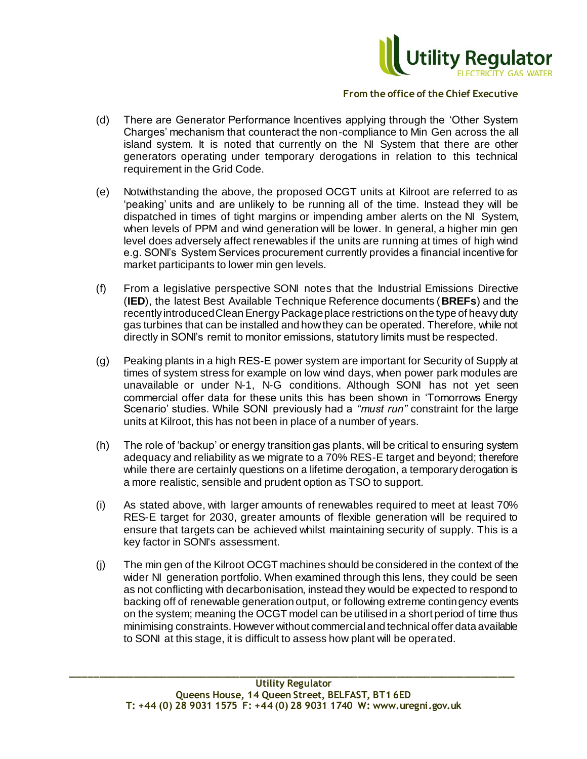

- (d) There are Generator Performance Incentives applying through the 'Other System Charges' mechanism that counteract the non-compliance to Min Gen across the all island system. It is noted that currently on the NI System that there are other generators operating under temporary derogations in relation to this technical requirement in the Grid Code.
- (e) Notwithstanding the above, the proposed OCGT units at Kilroot are referred to as 'peaking' units and are unlikely to be running all of the time. Instead they will be dispatched in times of tight margins or impending amber alerts on the NI System, when levels of PPM and wind generation will be lower. In general, a higher min gen level does adversely affect renewables if the units are running at times of high wind e.g. SONI's System Services procurement currently provides a financial incentive for market participants to lower min gen levels.
- (f) From a legislative perspective SONI notes that the Industrial Emissions Directive (**IED**), the latest Best Available Technique Reference documents (**BREFs**) and the recently introduced Clean Energy Package place restrictions on the type of heavy duty gas turbines that can be installed and how they can be operated. Therefore, while not directly in SONI's remit to monitor emissions, statutory limits must be respected.
- (g) Peaking plants in a high RES-E power system are important for Security of Supply at times of system stress for example on low wind days, when power park modules are unavailable or under N-1, N-G conditions. Although SONI has not yet seen commercial offer data for these units this has been shown in 'Tomorrows Energy Scenario' studies. While SONI previously had a *"must run"* constraint for the large units at Kilroot, this has not been in place of a number of years.
- (h) The role of 'backup' or energy transition gas plants, will be critical to ensuring system adequacy and reliability as we migrate to a 70% RES-E target and beyond; therefore while there are certainly questions on a lifetime derogation, a temporary derogation is a more realistic, sensible and prudent option as TSO to support.
- (i) As stated above, with larger amounts of renewables required to meet at least 70% RES-E target for 2030, greater amounts of flexible generation will be required to ensure that targets can be achieved whilst maintaining security of supply. This is a key factor in SONI's assessment.
- (j) The min gen of the Kilroot OCGT machines should be considered in the context of the wider NI generation portfolio. When examined through this lens, they could be seen as not conflicting with decarbonisation, instead they would be expected to respond to backing off of renewable generation output, or following extreme contingency events on the system; meaning the OCGT model can be utilised in a short period of time thus minimising constraints. However without commercial and technical offer data available to SONI at this stage, it is difficult to assess how plant will be operated.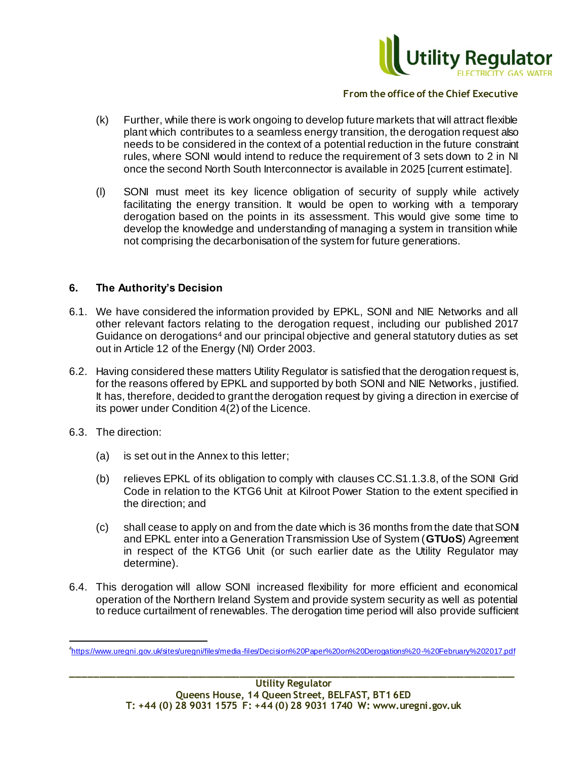

- (k) Further, while there is work ongoing to develop future markets that will attract flexible plant which contributes to a seamless energy transition, the derogation request also needs to be considered in the context of a potential reduction in the future constraint rules, where SONI would intend to reduce the requirement of 3 sets down to 2 in NI once the second North South Interconnector is available in 2025 [current estimate].
- (l) SONI must meet its key licence obligation of security of supply while actively facilitating the energy transition. It would be open to working with a temporary derogation based on the points in its assessment. This would give some time to develop the knowledge and understanding of managing a system in transition while not comprising the decarbonisation of the system for future generations.

### **6. The Authority's Decision**

- 6.1. We have considered the information provided by EPKL, SONI and NIE Networks and all other relevant factors relating to the derogation request, including our published 2017 Guidance on derogations<sup>4</sup> and our principal objective and general statutory duties as set out in Article 12 of the Energy (NI) Order 2003.
- 6.2. Having considered these matters Utility Regulator is satisfied that the derogation request is, for the reasons offered by EPKL and supported by both SONI and NIE Networks, justified. It has, therefore, decided to grant the derogation request by giving a direction in exercise of its power under Condition 4(2) of the Licence.
- 6.3. The direction:

j

- (a) is set out in the Annex to this letter;
- (b) relieves EPKL of its obligation to comply with clauses CC.S1.1.3.8, of the SONI Grid Code in relation to the KTG6 Unit at Kilroot Power Station to the extent specified in the direction; and
- (c) shall cease to apply on and from the date which is 36 months from the date that SONI and EPKL enter into a Generation Transmission Use of System (**GTUoS**) Agreement in respect of the KTG6 Unit (or such earlier date as the Utility Regulator may determine).
- 6.4. This derogation will allow SONI increased flexibility for more efficient and economical operation of the Northern Ireland System and provide system security as well as potential to reduce curtailment of renewables. The derogation time period will also provide sufficient

<sup>4</sup> <https://www.uregni.gov.uk/sites/uregni/files/media-files/Decision%20Paper%20on%20Derogations%20-%20February%202017.pdf>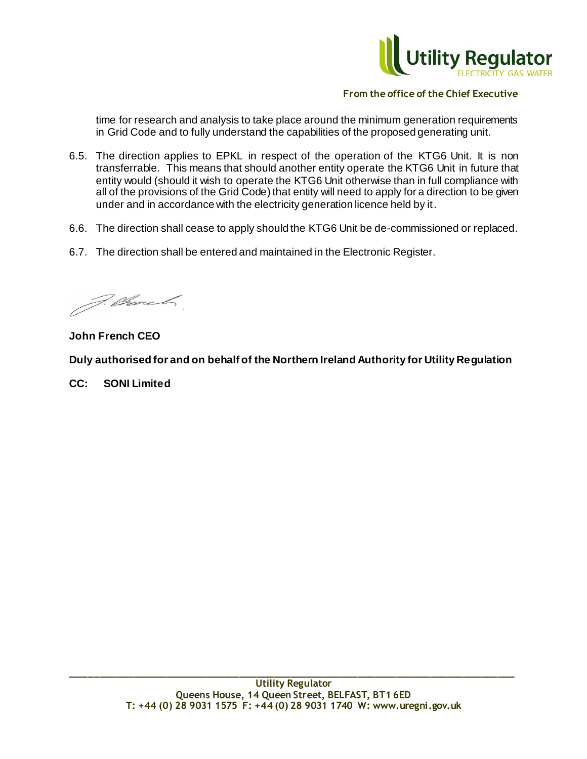

time for research and analysis to take place around the minimum generation requirements in Grid Code and to fully understand the capabilities of the proposed generating unit.

- 6.5. The direction applies to EPKL in respect of the operation of the KTG6 Unit. It is non transferrable. This means that should another entity operate the KTG6 Unit in future that entity would (should it wish to operate the KTG6 Unit otherwise than in full compliance with all of the provisions of the Grid Code) that entity will need to apply for a direction to be given under and in accordance with the electricity generation licence held by it.
- 6.6. The direction shall cease to apply should the KTG6 Unit be de-commissioned or replaced.
- 6.7. The direction shall be entered and maintained in the Electronic Register.

F. Church

**John French CEO**

**Duly authorised for and on behalf of the Northern Ireland Authority for Utility Regulation**

**CC: SONI Limited**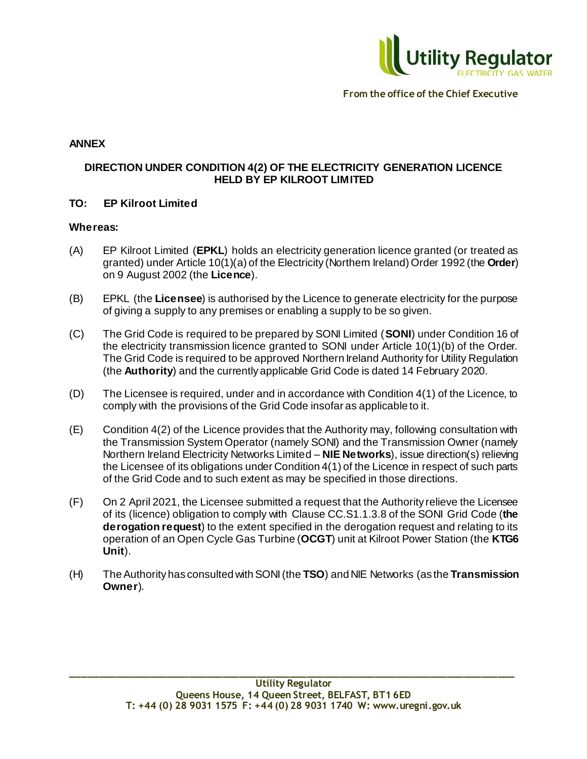

## **ANNEX**

# **DIRECTION UNDER CONDITION 4(2) OF THE ELECTRICITY GENERATION LICENCE HELD BY EP KILROOT LIMITED**

### **TO: EP Kilroot Limited**

#### **Whereas:**

- (A) EP Kilroot Limited (**EPKL**) holds an electricity generation licence granted (or treated as granted) under Article 10(1)(a) of the Electricity (Northern Ireland) Order 1992 (the **Order**) on 9 August 2002 (the **Licence**).
- (B) EPKL (the **Licensee**) is authorised by the Licence to generate electricity for the purpose of giving a supply to any premises or enabling a supply to be so given.
- (C) The Grid Code is required to be prepared by SONI Limited (**SONI**) under Condition 16 of the electricity transmission licence granted to SONI under Article 10(1)(b) of the Order. The Grid Code is required to be approved Northern Ireland Authority for Utility Regulation (the **Authority**) and the currently applicable Grid Code is dated 14 February 2020.
- (D) The Licensee is required, under and in accordance with Condition 4(1) of the Licence, to comply with the provisions of the Grid Code insofar as applicable to it.
- (E) Condition 4(2) of the Licence provides that the Authority may, following consultation with the Transmission System Operator (namely SONI) and the Transmission Owner (namely Northern Ireland Electricity Networks Limited – **NIE Networks**), issue direction(s) relieving the Licensee of its obligations under Condition 4(1) of the Licence in respect of such parts of the Grid Code and to such extent as may be specified in those directions.
- (F) On 2 April 2021, the Licensee submitted a request that the Authority relieve the Licensee of its (licence) obligation to comply with Clause CC.S1.1.3.8 of the SONI Grid Code (**the derogation request**) to the extent specified in the derogation request and relating to its operation of an Open Cycle Gas Turbine (**OCGT**) unit at Kilroot Power Station (the **KTG6 Unit**).
- (H) The Authority has consulted with SONI (the **TSO**) and NIE Networks (as the **Transmission Owner**).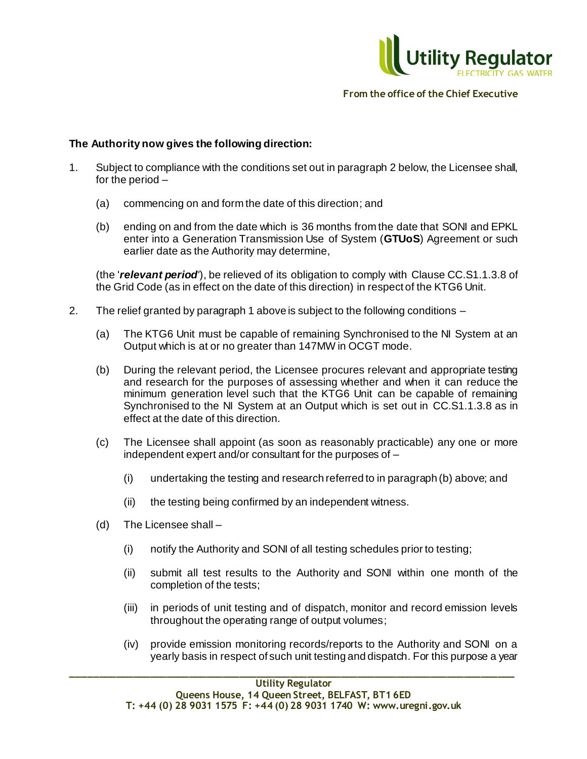

### **The Authority now gives the following direction:**

- 1. Subject to compliance with the conditions set out in paragraph 2 below, the Licensee shall, for the period –
	- (a) commencing on and form the date of this direction; and
	- (b) ending on and from the date which is 36 months from the date that SONI and EPKL enter into a Generation Transmission Use of System (**GTUoS**) Agreement or such earlier date as the Authority may determine,

(the '*relevant period'*), be relieved of its obligation to comply with Clause CC.S1.1.3.8 of the Grid Code (as in effect on the date of this direction) in respect of the KTG6 Unit.

- 2. The relief granted by paragraph 1 above is subject to the following conditions
	- (a) The KTG6 Unit must be capable of remaining Synchronised to the NI System at an Output which is at or no greater than 147MW in OCGT mode.
	- (b) During the relevant period, the Licensee procures relevant and appropriate testing and research for the purposes of assessing whether and when it can reduce the minimum generation level such that the KTG6 Unit can be capable of remaining Synchronised to the NI System at an Output which is set out in CC.S1.1.3.8 as in effect at the date of this direction.
	- (c) The Licensee shall appoint (as soon as reasonably practicable) any one or more independent expert and/or consultant for the purposes of –
		- (i) undertaking the testing and research referred to in paragraph (b) above; and
		- (ii) the testing being confirmed by an independent witness.
	- (d) The Licensee shall
		- (i) notify the Authority and SONI of all testing schedules prior to testing;
		- (ii) submit all test results to the Authority and SONI within one month of the completion of the tests;
		- (iii) in periods of unit testing and of dispatch, monitor and record emission levels throughout the operating range of output volumes;
		- (iv) provide emission monitoring records/reports to the Authority and SONI on a yearly basis in respect of such unit testing and dispatch. For this purpose a year